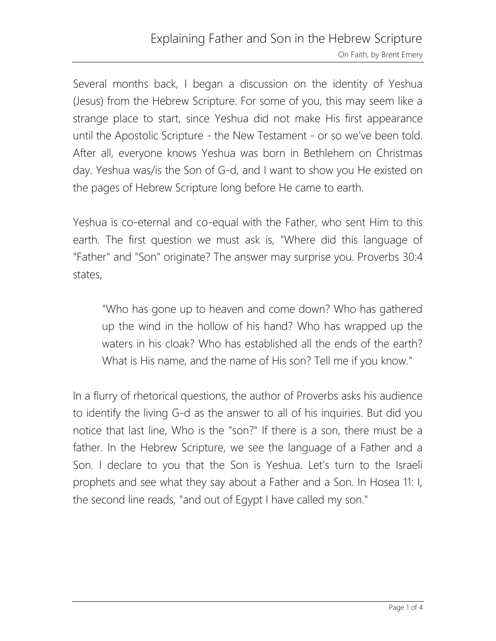Several months back, I began a discussion on the identity of Yeshua (Jesus) from the Hebrew Scripture. For some of you, this may seem like a strange place to start, since Yeshua did not make His first appearance until the Apostolic Scripture - the New Testament - or so we've been told. After all, everyone knows Yeshua was born in Bethlehem on Christmas day. Yeshua was/is the Son of G-d, and I want to show you He existed on the pages of Hebrew Scripture long before He came to earth.

Yeshua is co-eternal and co-equal with the Father, who sent Him to this earth. The first question we must ask is, "Where did this language of "Father" and "Son" originate? The answer may surprise you. Proverbs 30:4 states,

"Who has gone up to heaven and come down? Who has gathered up the wind in the hollow of his hand? Who has wrapped up the waters in his cloak? Who has established all the ends of the earth? What is His name, and the name of His son? Tell me if you know."

In a flurry of rhetorical questions, the author of Proverbs asks his audience to identify the living G-d as the answer to all of his inquiries. But did you notice that last line, Who is the "son?" If there is a son, there must be a father. In the Hebrew Scripture, we see the language of a Father and a Son. I declare to you that the Son is Yeshua. Let's turn to the Israeli prophets and see what they say about a Father and a Son. In Hosea 11: I, the second line reads, "and out of Egypt I have called my son."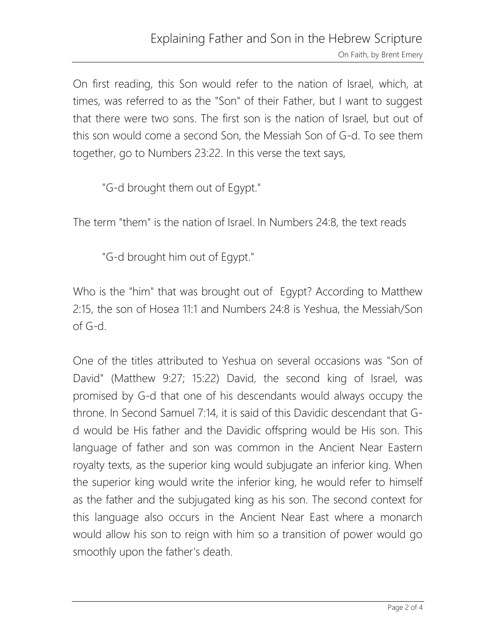On first reading, this Son would refer to the nation of Israel, which, at times, was referred to as the "Son" of their Father, but I want to suggest that there were two sons. The first son is the nation of Israel, but out of this son would come a second Son, the Messiah Son of G-d. To see them together, go to Numbers 23:22. In this verse the text says,

"G-d brought them out of Egypt."

The term "them" is the nation of Israel. In Numbers 24:8, the text reads

"G-d brought him out of Egypt."

Who is the "him" that was brought out of Egypt? According to Matthew 2:15, the son of Hosea 11:1 and Numbers 24:8 is Yeshua, the Messiah/Son of G-d.

One of the titles attributed to Yeshua on several occasions was "Son of David" (Matthew 9:27; 15:22) David, the second king of Israel, was promised by G-d that one of his descendants would always occupy the throne. In Second Samuel 7:14, it is said of this Davidic descendant that Gd would be His father and the Davidic offspring would be His son. This language of father and son was common in the Ancient Near Eastern royalty texts, as the superior king would subjugate an inferior king. When the superior king would write the inferior king, he would refer to himself as the father and the subjugated king as his son. The second context for this language also occurs in the Ancient Near East where a monarch would allow his son to reign with him so a transition of power would go smoothly upon the father's death.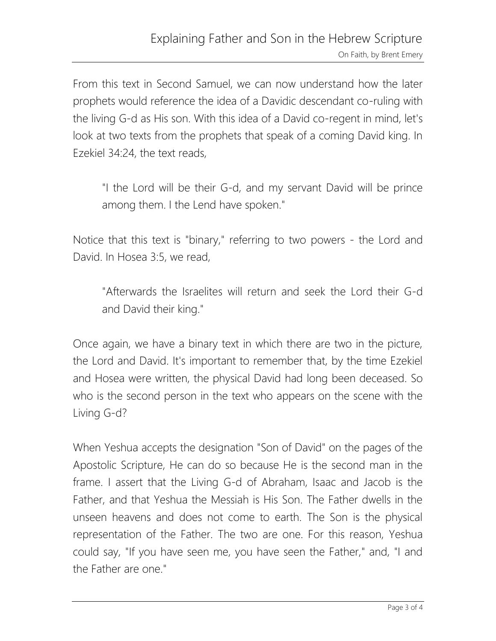From this text in Second Samuel, we can now understand how the later prophets would reference the idea of a Davidic descendant co-ruling with the living G-d as His son. With this idea of a David co-regent in mind, let's look at two texts from the prophets that speak of a coming David king. In Ezekiel 34:24, the text reads,

"I the Lord will be their G-d, and my servant David will be prince among them. I the Lend have spoken."

Notice that this text is "binary," referring to two powers - the Lord and David. In Hosea 3:5, we read,

"Afterwards the Israelites will return and seek the Lord their G-d and David their king."

Once again, we have a binary text in which there are two in the picture, the Lord and David. It's important to remember that, by the time Ezekiel and Hosea were written, the physical David had long been deceased. So who is the second person in the text who appears on the scene with the Living G-d?

When Yeshua accepts the designation "Son of David" on the pages of the Apostolic Scripture, He can do so because He is the second man in the frame. I assert that the Living G-d of Abraham, Isaac and Jacob is the Father, and that Yeshua the Messiah is His Son. The Father dwells in the unseen heavens and does not come to earth. The Son is the physical representation of the Father. The two are one. For this reason, Yeshua could say, "If you have seen me, you have seen the Father," and, "I and the Father are one."